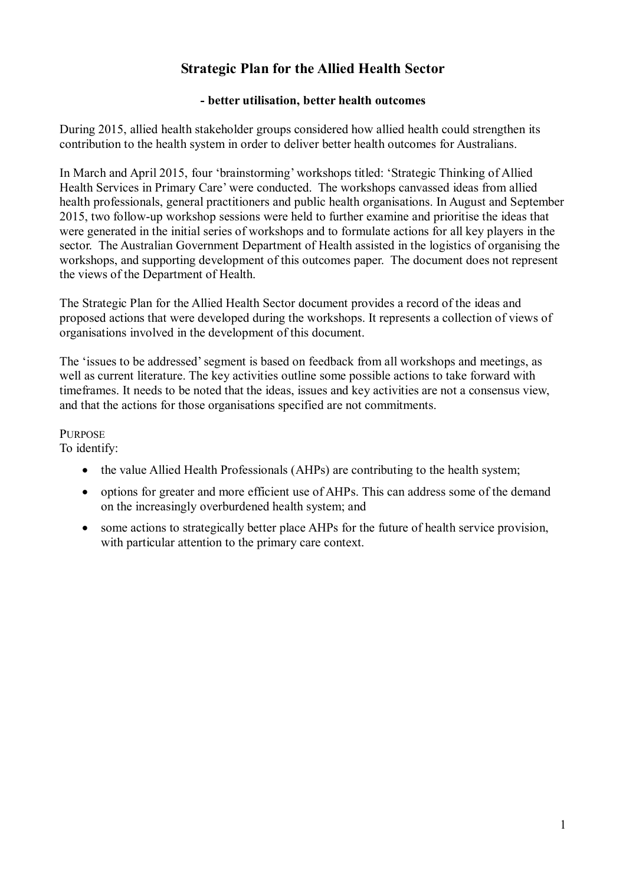# **Strategic Plan for the Allied Health Sector**

### **- better utilisation, better health outcomes**

During 2015, allied health stakeholder groups considered how allied health could strengthen its contribution to the health system in order to deliver better health outcomes for Australians.

In March and April 2015, four 'brainstorming' workshops titled: 'Strategic Thinking of Allied Health Services in Primary Care' were conducted. The workshops canvassed ideas from allied health professionals, general practitioners and public health organisations. In August and September 2015, two follow-up workshop sessions were held to further examine and prioritise the ideas that were generated in the initial series of workshops and to formulate actions for all key players in the sector. The Australian Government Department of Health assisted in the logistics of organising the workshops, and supporting development of this outcomes paper. The document does not represent the views of the Department of Health.

The Strategic Plan for the Allied Health Sector document provides a record of the ideas and proposed actions that were developed during the workshops. It represents a collection of views of organisations involved in the development of this document.

The 'issues to be addressed' segment is based on feedback from all workshops and meetings, as well as current literature. The key activities outline some possible actions to take forward with timeframes. It needs to be noted that the ideas, issues and key activities are not a consensus view, and that the actions for those organisations specified are not commitments.

**PURPOSE** 

To identify:

- the value Allied Health Professionals (AHPs) are contributing to the health system;
- options for greater and more efficient use of AHPs. This can address some of the demand on the increasingly overburdened health system; and
- some actions to strategically better place AHPs for the future of health service provision, with particular attention to the primary care context.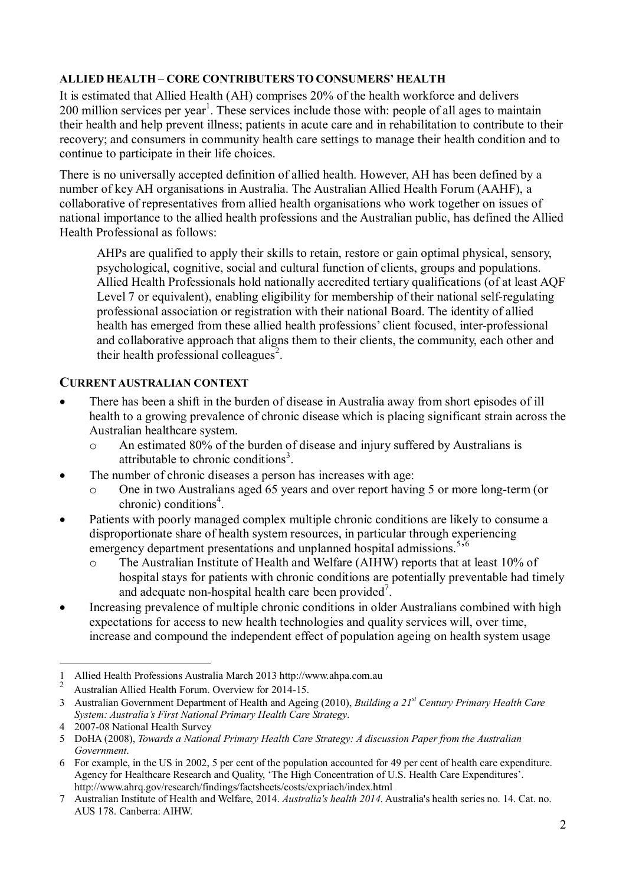### **ALLIED HEALTH – CORE CONTRIBUTERS TO CONSUMERS' HEALTH**

It is estimated that Allied Health (AH) comprises 20% of the health workforce and delivers 200 million services per year<sup>1</sup>. These services include those with: people of all ages to maintain their health and help prevent illness; patients in acute care and in rehabilitation to contribute to their recovery; and consumers in community health care settings to manage their health condition and to continue to participate in their life choices.

There is no universally accepted definition of allied health. However, AH has been defined by a number of key AH organisations in Australia. The Australian Allied Health Forum (AAHF), a collaborative of representatives from allied health organisations who work together on issues of national importance to the allied health professions and the Australian public, has defined the Allied Health Professional as follows:

AHPs are qualified to apply their skills to retain, restore or gain optimal physical, sensory, psychological, cognitive, social and cultural function of clients, groups and populations. Allied Health Professionals hold nationally accredited tertiary qualifications (of at least AQF Level 7 or equivalent), enabling eligibility for membership of their national self-regulating professional association or registration with their national Board. The identity of allied health has emerged from these allied health professions' client focused, inter-professional and collaborative approach that aligns them to their clients, the community, each other and their health professional colleagues<sup>2</sup>.

## **CURRENT AUSTRALIAN CONTEXT**

- There has been a shift in the burden of disease in Australia away from short episodes of ill health to a growing prevalence of chronic disease which is placing significant strain across the Australian healthcare system.
	- o An estimated 80% of the burden of disease and injury suffered by Australians is attributable to chronic conditions<sup>3</sup>.
- The number of chronic diseases a person has increases with age:
	- o One in two Australians aged 65 years and over report having 5 or more long-term (or chronic) conditions<sup>4</sup>.
- Patients with poorly managed complex multiple chronic conditions are likely to consume a disproportionate share of health system resources, in particular through experiencing emergency department presentations and unplanned hospital admissions.<sup>5,6</sup>
	- o The Australian Institute of Health and Welfare (AIHW) reports that at least 10% of hospital stays for patients with chronic conditions are potentially preventable had timely and adequate non-hospital health care been provided<sup>7</sup>.
- Increasing prevalence of multiple chronic conditions in older Australians combined with high expectations for access to new health technologies and quality services will, over time, increase and compound the independent effect of population ageing on health system usage

<sup>-</sup>1 Allied Health Professions Australia March 2013 http://www.ahpa.com.au

<sup>2</sup> Australian Allied Health Forum. Overview for 2014-15.

<sup>3</sup> Australian Government Department of Health and Ageing (2010), *Building a 21st Century Primary Health Care System: Australia's First National Primary Health Care Strategy*.

<sup>4 2007-08</sup> National Health Survey

<sup>5</sup> DoHA (2008), *Towards a National Primary Health Care Strategy: A discussion Paper from the Australian Government*.

<sup>6</sup> For example, in the US in 2002, 5 per cent of the population accounted for 49 per cent of health care expenditure. Agency for Healthcare Research and Quality, 'The High Concentration of U.S. Health Care Expenditures'. http://www.ahrq.gov/research/findings/factsheets/costs/expriach/index.html

<sup>7</sup> Australian Institute of Health and Welfare, 2014. *Australia's health 2014*. Australia's health series no. 14. Cat. no. AUS 178. Canberra: AIHW.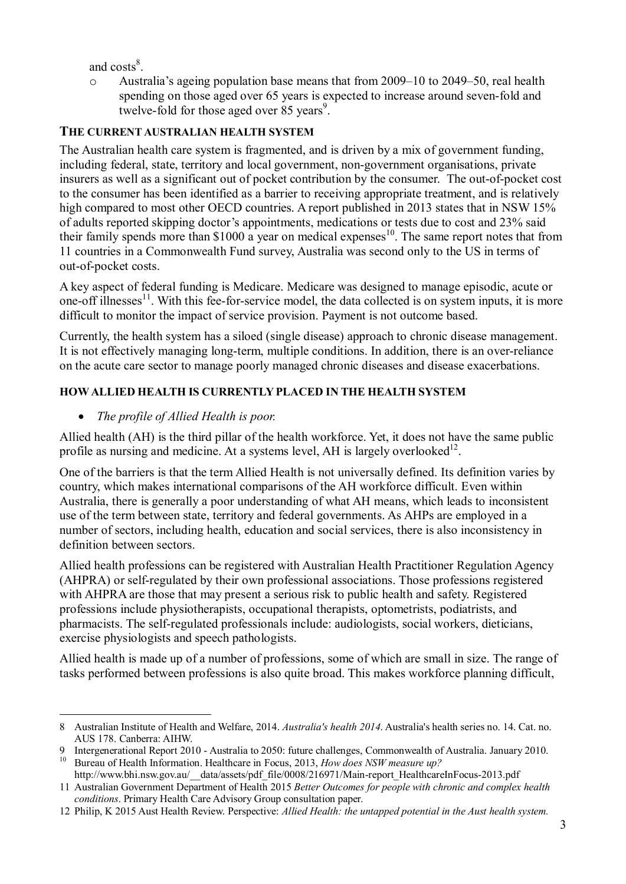and  $costs^8$ .

Australia's ageing population base means that from 2009–10 to 2049–50, real health spending on those aged over 65 years is expected to increase around seven-fold and twelve-fold for those aged over 85 years<sup>9</sup>.

## **THE CURRENT AUSTRALIAN HEALTH SYSTEM**

The Australian health care system is fragmented, and is driven by a mix of government funding, including federal, state, territory and local government, non-government organisations, private insurers as well as a significant out of pocket contribution by the consumer. The out-of-pocket cost to the consumer has been identified as a barrier to receiving appropriate treatment, and is relatively high compared to most other OECD countries. A report published in 2013 states that in NSW 15% of adults reported skipping doctor's appointments, medications or tests due to cost and 23% said their family spends more than  $$1000$  a year on medical expenses<sup>10</sup>. The same report notes that from 11 countries in a Commonwealth Fund survey, Australia was second only to the US in terms of out-of-pocket costs.

A key aspect of federal funding is Medicare. Medicare was designed to manage episodic, acute or one-off illnesses<sup>11</sup>. With this fee-for-service model, the data collected is on system inputs, it is more difficult to monitor the impact of service provision. Payment is not outcome based.

Currently, the health system has a siloed (single disease) approach to chronic disease management. It is not effectively managing long-term, multiple conditions. In addition, there is an over-reliance on the acute care sector to manage poorly managed chronic diseases and disease exacerbations.

## **HOWALLIED HEALTH IS CURRENTLY PLACED IN THE HEALTH SYSTEM**

## *The profile of Allied Health is poor.*

Allied health (AH) is the third pillar of the health workforce. Yet, it does not have the same public profile as nursing and medicine. At a systems level, AH is largely overlooked $^{12}$ .

One of the barriers is that the term Allied Health is not universally defined. Its definition varies by country, which makes international comparisons of the AH workforce difficult. Even within Australia, there is generally a poor understanding of what AH means, which leads to inconsistent use of the term between state, territory and federal governments. As AHPs are employed in a number of sectors, including health, education and social services, there is also inconsistency in definition between sectors.

Allied health professions can be registered with Australian Health Practitioner Regulation Agency (AHPRA) or self-regulated by their own professional associations. Those professions registered with AHPRA are those that may present a serious risk to public health and safety. Registered professions include physiotherapists, occupational therapists, optometrists, podiatrists, and pharmacists. The self-regulated professionals include: audiologists, social workers, dieticians, exercise physiologists and speech pathologists.

Allied health is made up of a number of professions, some of which are small in size. The range of tasks performed between professions is also quite broad. This makes workforce planning difficult,

<sup>-</sup>8 Australian Institute of Health and Welfare, 2014. *Australia's health 2014*. Australia's health series no. 14. Cat. no. AUS 178. Canberra: AIHW.

<sup>9</sup> Intergenerational Report 2010 - Australia to 2050: future challenges, Commonwealth of Australia. January 2010. <sup>10</sup> Bureau of Health Information. Healthcare in Focus, 2013, *How does NSW measure up?* 

http://www.bhi.nsw.gov.au/\_\_data/assets/pdf\_file/0008/216971/Main-report\_HealthcareInFocus-2013.pdf 11 Australian Government Department of Health 2015 *Better Outcomes for people with chronic and complex health* 

<sup>12</sup> Philip, K 2015 Aust Health Review. Perspective: *Allied Health: the untapped potential in the Aust health system.*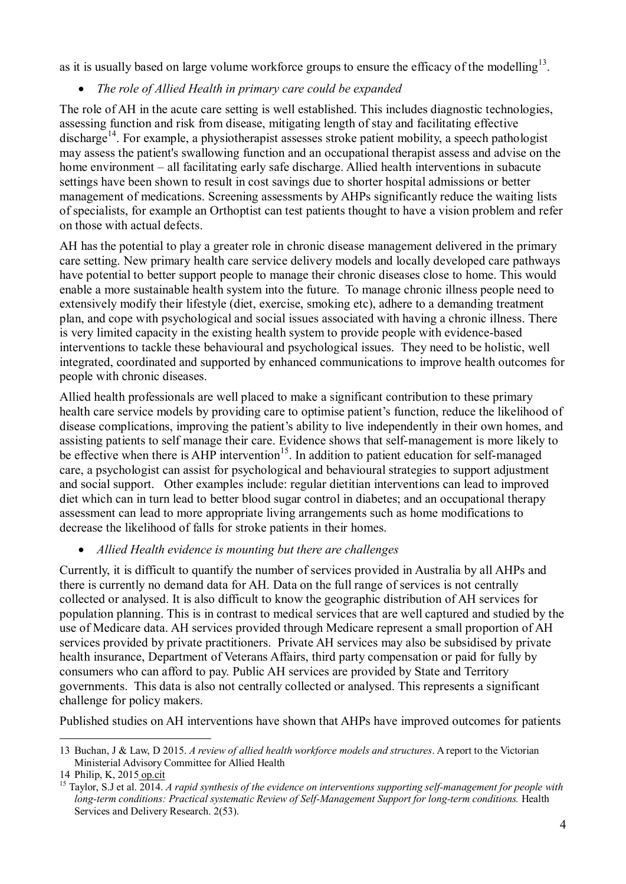as it is usually based on large volume workforce groups to ensure the efficacy of the modelling<sup>13</sup>.

## *The role of Allied Health in primary care could be expanded*

The role of AH in the acute care setting is well established. This includes diagnostic technologies, assessing function and risk from disease, mitigating length of stay and facilitating effective discharge<sup>14</sup>. For example, a physiotherapist assesses stroke patient mobility, a speech pathologist may assess the patient's swallowing function and an occupational therapist assess and advise on the home environment – all facilitating early safe discharge. Allied health interventions in subacute settings have been shown to result in cost savings due to shorter hospital admissions or better management of medications. Screening assessments by AHPs significantly reduce the waiting lists of specialists, for example an Orthoptist can test patients thought to have a vision problem and refer on those with actual defects.

AH has the potential to play a greater role in chronic disease management delivered in the primary care setting. New primary health care service delivery models and locally developed care pathways have potential to better support people to manage their chronic diseases close to home. This would enable a more sustainable health system into the future. To manage chronic illness people need to extensively modify their lifestyle (diet, exercise, smoking etc), adhere to a demanding treatment plan, and cope with psychological and social issues associated with having a chronic illness. There is very limited capacity in the existing health system to provide people with evidence-based interventions to tackle these behavioural and psychological issues. They need to be holistic, well integrated, coordinated and supported by enhanced communications to improve health outcomes for people with chronic diseases.

Allied health professionals are well placed to make a significant contribution to these primary health care service models by providing care to optimise patient's function, reduce the likelihood of disease complications, improving the patient's ability to live independently in their own homes, and assisting patients to self manage their care. Evidence shows that self-management is more likely to be effective when there is  $\overrightarrow{AHP}$  intervention<sup>15</sup>. In addition to patient education for self-managed care, a psychologist can assist for psychological and behavioural strategies to support adjustment and social support. Other examples include: regular dietitian interventions can lead to improved diet which can in turn lead to better blood sugar control in diabetes; and an occupational therapy assessment can lead to more appropriate living arrangements such as home modifications to decrease the likelihood of falls for stroke patients in their homes.

## *Allied Health evidence is mounting but there are challenges*

Currently, it is difficult to quantify the number of services provided in Australia by all AHPs and there is currently no demand data for AH. Data on the full range of services is not centrally collected or analysed. It is also difficult to know the geographic distribution of AH services for population planning. This is in contrast to medical services that are well captured and studied by the use of Medicare data. AH services provided through Medicare represent a small proportion of AH services provided by private practitioners. Private AH services may also be subsidised by private health insurance, Department of Veterans Affairs, third party compensation or paid for fully by consumers who can afford to pay. Public AH services are provided by State and Territory governments. This data is also not centrally collected or analysed. This represents a significant challenge for policy makers.

Published studies on AH interventions have shown that AHPs have improved outcomes for patients

<sup>-</sup>13 Buchan, J & Law, D 2015. *A review of allied health workforce models and structures*. A report to the Victorian Ministerial Advisory Committee for Allied Health

<sup>14</sup> Philip, K, 2015 op.cit

<sup>15</sup> Taylor, S.J et al. 2014. *A rapid synthesis of the evidence on interventions supporting self-management for people with long-term conditions: Practical systematic Review of Self-Management Support for long-term conditions.* Health Services and Delivery Research. 2(53).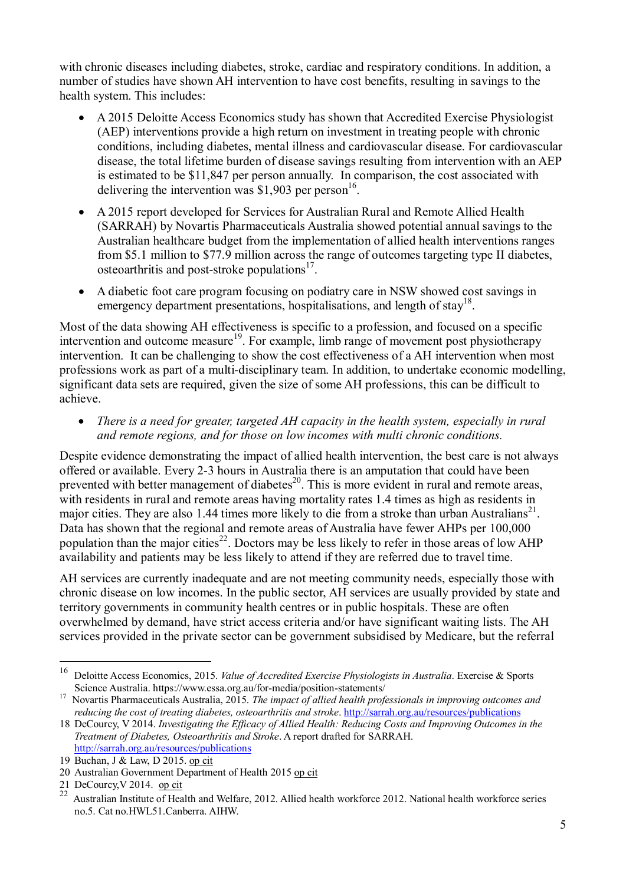with chronic diseases including diabetes, stroke, cardiac and respiratory conditions. In addition, a number of studies have shown AH intervention to have cost benefits, resulting in savings to the health system. This includes:

- A 2015 Deloitte Access Economics study has shown that Accredited Exercise Physiologist (AEP) interventions provide a high return on investment in treating people with chronic conditions, including diabetes, mental illness and cardiovascular disease. For cardiovascular disease, the total lifetime burden of disease savings resulting from intervention with an AEP is estimated to be \$11,847 per person annually. In comparison, the cost associated with delivering the intervention was \$1,903 per person<sup>16</sup>.
- A 2015 report developed for Services for Australian Rural and Remote Allied Health (SARRAH) by Novartis Pharmaceuticals Australia showed potential annual savings to the Australian healthcare budget from the implementation of allied health interventions ranges from \$5.1 million to \$77.9 million across the range of outcomes targeting type II diabetes, osteoarthritis and post-stroke populations $17$ .
- A diabetic foot care program focusing on podiatry care in NSW showed cost savings in emergency department presentations, hospitalisations, and length of stay<sup>18</sup>.

Most of the data showing AH effectiveness is specific to a profession, and focused on a specific intervention and outcome measure<sup>19</sup>. For example, limb range of movement post physiotherapy intervention. It can be challenging to show the cost effectiveness of a AH intervention when most professions work as part of a multi-disciplinary team. In addition, to undertake economic modelling, significant data sets are required, given the size of some AH professions, this can be difficult to achieve.

 *There is a need for greater, targeted AH capacity in the health system, especially in rural and remote regions, and for those on low incomes with multi chronic conditions.* 

Despite evidence demonstrating the impact of allied health intervention, the best care is not always offered or available. Every 2-3 hours in Australia there is an amputation that could have been prevented with better management of diabetes<sup>20</sup>. This is more evident in rural and remote areas, with residents in rural and remote areas having mortality rates 1.4 times as high as residents in major cities. They are also 1.44 times more likely to die from a stroke than urban Australians<sup>21</sup>. Data has shown that the regional and remote areas of Australia have fewer AHPs per 100,000 population than the major cities<sup>22</sup>. Doctors may be less likely to refer in those areas of low AHP availability and patients may be less likely to attend if they are referred due to travel time.

AH services are currently inadequate and are not meeting community needs, especially those with chronic disease on low incomes. In the public sector, AH services are usually provided by state and territory governments in community health centres or in public hospitals. These are often overwhelmed by demand, have strict access criteria and/or have significant waiting lists. The AH services provided in the private sector can be government subsidised by Medicare, but the referral

<sup>16</sup> 16 Deloitte Access Economics, 2015. *Value of Accredited Exercise Physiologists in Australia*. Exercise & Sports Science Australia. https://www.essa.org.au/for-media/position-statements/

<sup>17</sup> Novartis Pharmaceuticals Australia, 2015. *The impact of allied health professionals in improving outcomes and reducing the cost of treating diabetes, osteoarthritis and stroke.* http://sarrah.org.au/resources/publications

<sup>18</sup> DeCourcy, V 2014. *Investigating the Efficacy of Allied Health: Reducing Costs and Improving Outcomes in the Treatment of Diabetes, Osteoarthritis and Stroke*. A report drafted for SARRAH. http://sarrah.org.au/resources/publications

<sup>19</sup> Buchan, J & Law, D 2015. op cit

<sup>20</sup> Australian Government Department of Health 2015 op cit

<sup>21</sup> DeCourcy,V 2014. op cit

 $\frac{1}{22}$  Australian Institute of Health and Welfare, 2012. Allied health workforce 2012. National health workforce series no.5. Cat no.HWL51.Canberra. AIHW.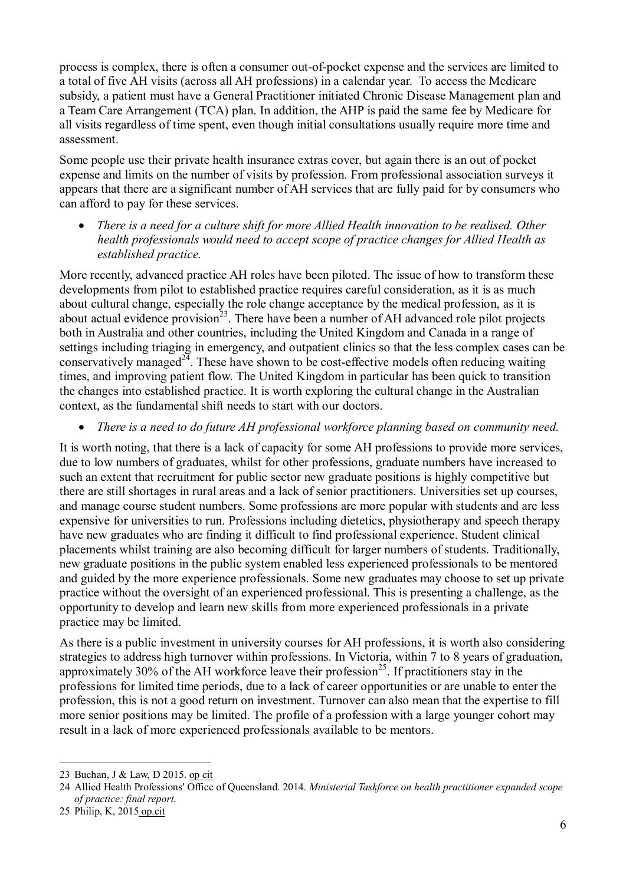process is complex, there is often a consumer out-of-pocket expense and the services are limited to a total of five AH visits (across all AH professions) in a calendar year. To access the Medicare subsidy, a patient must have a General Practitioner initiated Chronic Disease Management plan and a Team Care Arrangement (TCA) plan. In addition, the AHP is paid the same fee by Medicare for all visits regardless of time spent, even though initial consultations usually require more time and assessment.

Some people use their private health insurance extras cover, but again there is an out of pocket expense and limits on the number of visits by profession. From professional association surveys it appears that there are a significant number of AH services that are fully paid for by consumers who can afford to pay for these services.

 *There is a need for a culture shift for more Allied Health innovation to be realised. Other health professionals would need to accept scope of practice changes for Allied Health as established practice.* 

More recently, advanced practice AH roles have been piloted. The issue of how to transform these developments from pilot to established practice requires careful consideration, as it is as much about cultural change, especially the role change acceptance by the medical profession, as it is about actual evidence provision<sup>23</sup>. There have been a number of AH advanced role pilot projects both in Australia and other countries, including the United Kingdom and Canada in a range of settings including triaging in emergency, and outpatient clinics so that the less complex cases can be conservatively managed $^{24}$ . These have shown to be cost-effective models often reducing waiting times, and improving patient flow. The United Kingdom in particular has been quick to transition the changes into established practice. It is worth exploring the cultural change in the Australian context, as the fundamental shift needs to start with our doctors.

*There is a need to do future AH professional workforce planning based on community need.* 

It is worth noting, that there is a lack of capacity for some AH professions to provide more services, due to low numbers of graduates, whilst for other professions, graduate numbers have increased to such an extent that recruitment for public sector new graduate positions is highly competitive but there are still shortages in rural areas and a lack of senior practitioners. Universities set up courses, and manage course student numbers. Some professions are more popular with students and are less expensive for universities to run. Professions including dietetics, physiotherapy and speech therapy have new graduates who are finding it difficult to find professional experience. Student clinical placements whilst training are also becoming difficult for larger numbers of students. Traditionally, new graduate positions in the public system enabled less experienced professionals to be mentored and guided by the more experience professionals. Some new graduates may choose to set up private practice without the oversight of an experienced professional. This is presenting a challenge, as the opportunity to develop and learn new skills from more experienced professionals in a private practice may be limited.

As there is a public investment in university courses for AH professions, it is worth also considering strategies to address high turnover within professions. In Victoria, within 7 to 8 years of graduation, approximately 30% of the AH workforce leave their profession<sup>25</sup>. If practitioners stay in the professions for limited time periods, due to a lack of career opportunities or are unable to enter the profession, this is not a good return on investment. Turnover can also mean that the expertise to fill more senior positions may be limited. The profile of a profession with a large younger cohort may result in a lack of more experienced professionals available to be mentors.

<sup>-</sup>23 Buchan, J & Law, D 2015. op cit

<sup>24</sup> Allied Health Professions' Office of Queensland. 2014. *Ministerial Taskforce on health practitioner expanded scope of practice: final report*.

<sup>25</sup> Philip, K, 2015 op.cit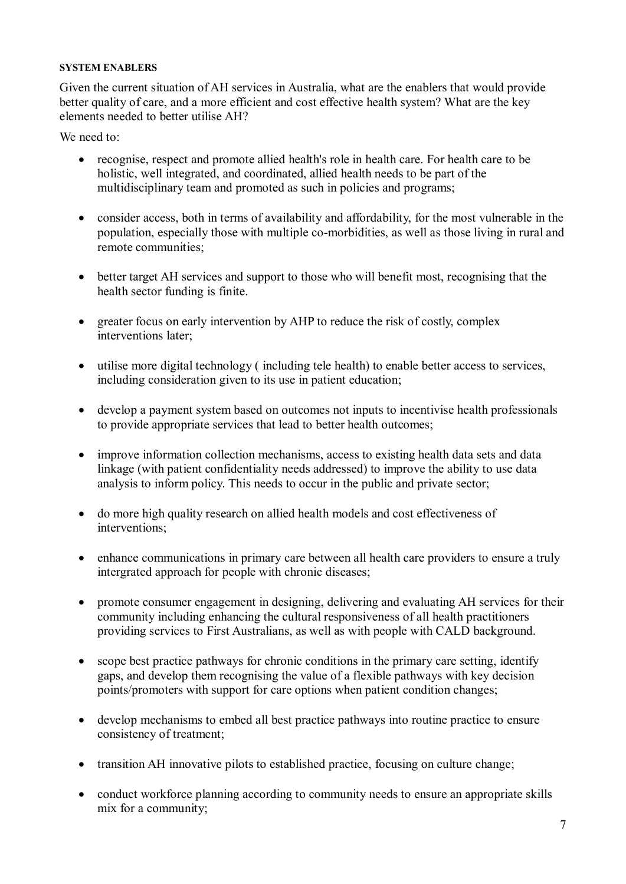#### **SYSTEM ENABLERS**

Given the current situation of AH services in Australia, what are the enablers that would provide better quality of care, and a more efficient and cost effective health system? What are the key elements needed to better utilise AH?

We need to:

- recognise, respect and promote allied health's role in health care. For health care to be holistic, well integrated, and coordinated, allied health needs to be part of the multidisciplinary team and promoted as such in policies and programs;
- consider access, both in terms of availability and affordability, for the most vulnerable in the population, especially those with multiple co-morbidities, as well as those living in rural and remote communities;
- better target AH services and support to those who will benefit most, recognising that the health sector funding is finite.
- greater focus on early intervention by AHP to reduce the risk of costly, complex interventions later;
- utilise more digital technology ( including tele health) to enable better access to services, including consideration given to its use in patient education;
- develop a payment system based on outcomes not inputs to incentivise health professionals to provide appropriate services that lead to better health outcomes;
- improve information collection mechanisms, access to existing health data sets and data linkage (with patient confidentiality needs addressed) to improve the ability to use data analysis to inform policy. This needs to occur in the public and private sector;
- do more high quality research on allied health models and cost effectiveness of interventions;
- enhance communications in primary care between all health care providers to ensure a truly intergrated approach for people with chronic diseases;
- promote consumer engagement in designing, delivering and evaluating AH services for their community including enhancing the cultural responsiveness of all health practitioners providing services to First Australians, as well as with people with CALD background.
- scope best practice pathways for chronic conditions in the primary care setting, identify gaps, and develop them recognising the value of a flexible pathways with key decision points/promoters with support for care options when patient condition changes;
- develop mechanisms to embed all best practice pathways into routine practice to ensure consistency of treatment;
- transition AH innovative pilots to established practice, focusing on culture change;
- conduct workforce planning according to community needs to ensure an appropriate skills mix for a community;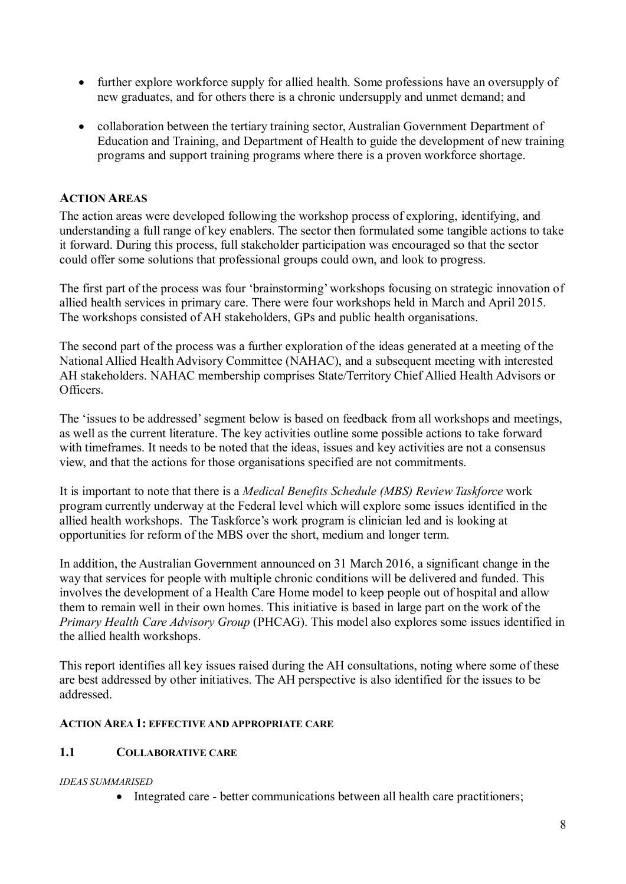- further explore workforce supply for allied health. Some professions have an oversupply of new graduates, and for others there is a chronic undersupply and unmet demand; and
- collaboration between the tertiary training sector, Australian Government Department of Education and Training, and Department of Health to guide the development of new training programs and support training programs where there is a proven workforce shortage.

## **ACTION AREAS**

The action areas were developed following the workshop process of exploring, identifying, and understanding a full range of key enablers. The sector then formulated some tangible actions to take it forward. During this process, full stakeholder participation was encouraged so that the sector could offer some solutions that professional groups could own, and look to progress.

The first part of the process was four 'brainstorming' workshops focusing on strategic innovation of allied health services in primary care. There were four workshops held in March and April 2015. The workshops consisted of AH stakeholders, GPs and public health organisations.

The second part of the process was a further exploration of the ideas generated at a meeting of the National Allied Health Advisory Committee (NAHAC), and a subsequent meeting with interested AH stakeholders. NAHAC membership comprises State/Territory Chief Allied Health Advisors or Officers.

The 'issues to be addressed' segment below is based on feedback from all workshops and meetings, as well as the current literature. The key activities outline some possible actions to take forward with timeframes. It needs to be noted that the ideas, issues and key activities are not a consensus view, and that the actions for those organisations specified are not commitments.

It is important to note that there is a *Medical Benefits Schedule (MBS) Review Taskforce* work program currently underway at the Federal level which will explore some issues identified in the allied health workshops. The Taskforce's work program is clinician led and is looking at opportunities for reform of the MBS over the short, medium and longer term.

In addition, the Australian Government announced on 31 March 2016, a significant change in the way that services for people with multiple chronic conditions will be delivered and funded. This involves the development of a Health Care Home model to keep people out of hospital and allow them to remain well in their own homes. This initiative is based in large part on the work of the *Primary Health Care Advisory Group* (PHCAG). This model also explores some issues identified in the allied health workshops.

This report identifies all key issues raised during the AH consultations, noting where some of these are best addressed by other initiatives. The AH perspective is also identified for the issues to be addressed.

### **ACTION AREA 1: EFFECTIVE AND APPROPRIATE CARE**

### **1.1 COLLABORATIVE CARE**

### *IDEAS SUMMARISED*

• Integrated care - better communications between all health care practitioners;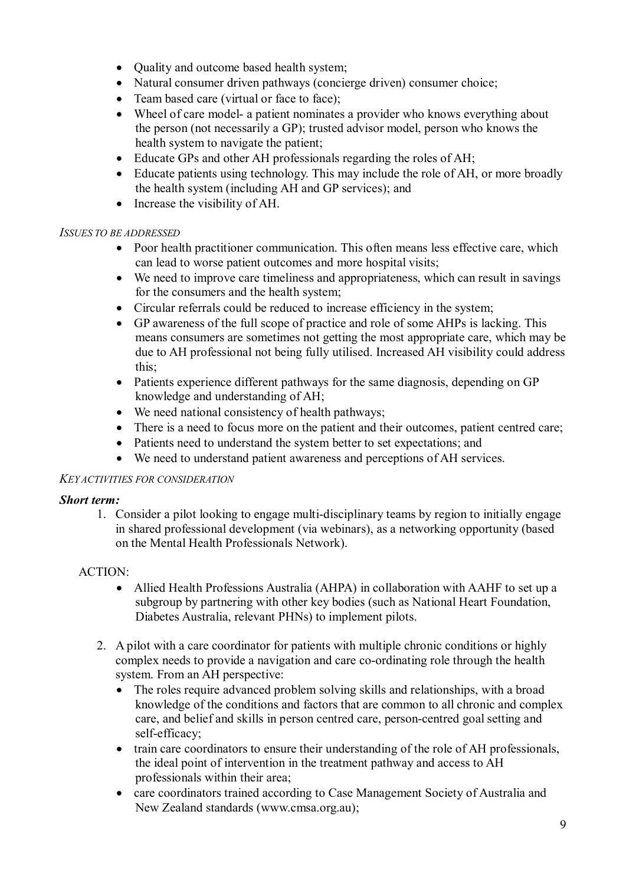- Ouality and outcome based health system;
- Natural consumer driven pathways (concierge driven) consumer choice;
- Team based care (virtual or face to face);
- Wheel of care model- a patient nominates a provider who knows everything about the person (not necessarily a GP); trusted advisor model, person who knows the health system to navigate the patient;
- Educate GPs and other AH professionals regarding the roles of AH;
- Educate patients using technology. This may include the role of AH, or more broadly the health system (including AH and GP services); and
- Increase the visibility of AH.

### *ISSUES TO BE ADDRESSED*

- Poor health practitioner communication. This often means less effective care, which can lead to worse patient outcomes and more hospital visits;
- We need to improve care timeliness and appropriateness, which can result in savings for the consumers and the health system;
- Circular referrals could be reduced to increase efficiency in the system;
- GP awareness of the full scope of practice and role of some AHPs is lacking. This means consumers are sometimes not getting the most appropriate care, which may be due to AH professional not being fully utilised. Increased AH visibility could address this;
- Patients experience different pathways for the same diagnosis, depending on GP knowledge and understanding of AH;
- We need national consistency of health pathways;
- There is a need to focus more on the patient and their outcomes, patient centred care;
- Patients need to understand the system better to set expectations; and
- We need to understand patient awareness and perceptions of AH services.

### *KEY ACTIVITIES FOR CONSIDERATION*

### *Short term:*

1. Consider a pilot looking to engage multi-disciplinary teams by region to initially engage in shared professional development (via webinars), as a networking opportunity (based on the Mental Health Professionals Network).

### ACTION:

- Allied Health Professions Australia (AHPA) in collaboration with AAHF to set up a subgroup by partnering with other key bodies (such as National Heart Foundation, Diabetes Australia, relevant PHNs) to implement pilots.
- 2. A pilot with a care coordinator for patients with multiple chronic conditions or highly complex needs to provide a navigation and care co-ordinating role through the health system. From an AH perspective:
	- The roles require advanced problem solving skills and relationships, with a broad knowledge of the conditions and factors that are common to all chronic and complex care, and belief and skills in person centred care, person-centred goal setting and self-efficacy;
	- train care coordinators to ensure their understanding of the role of AH professionals, the ideal point of intervention in the treatment pathway and access to AH professionals within their area;
	- care coordinators trained according to Case Management Society of Australia and New Zealand standards (www.cmsa.org.au);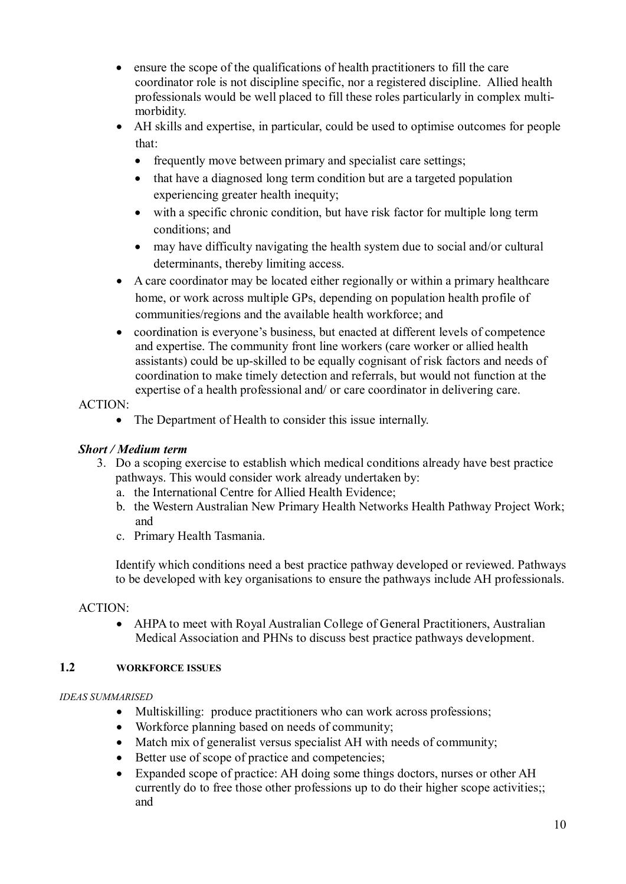- ensure the scope of the qualifications of health practitioners to fill the care coordinator role is not discipline specific, nor a registered discipline. Allied health professionals would be well placed to fill these roles particularly in complex multimorbidity.
- AH skills and expertise, in particular, could be used to optimise outcomes for people that:
	- frequently move between primary and specialist care settings;
	- that have a diagnosed long term condition but are a targeted population experiencing greater health inequity;
	- with a specific chronic condition, but have risk factor for multiple long term conditions; and
	- may have difficulty navigating the health system due to social and/or cultural determinants, thereby limiting access.
- A care coordinator may be located either regionally or within a primary healthcare home, or work across multiple GPs, depending on population health profile of communities/regions and the available health workforce; and
- coordination is everyone's business, but enacted at different levels of competence and expertise. The community front line workers (care worker or allied health assistants) could be up-skilled to be equally cognisant of risk factors and needs of coordination to make timely detection and referrals, but would not function at the expertise of a health professional and/ or care coordinator in delivering care.

## ACTION:

• The Department of Health to consider this issue internally.

## *Short / Medium term*

- 3. Do a scoping exercise to establish which medical conditions already have best practice pathways. This would consider work already undertaken by:
	- a. the International Centre for Allied Health Evidence;
	- b. the Western Australian New Primary Health Networks Health Pathway Project Work; and
	- c. Primary Health Tasmania.

Identify which conditions need a best practice pathway developed or reviewed. Pathways to be developed with key organisations to ensure the pathways include AH professionals.

### ACTION:

 AHPA to meet with Royal Australian College of General Practitioners, Australian Medical Association and PHNs to discuss best practice pathways development.

### **1.2 WORKFORCE ISSUES**

### *IDEAS SUMMARISED*

- Multiskilling: produce practitioners who can work across professions;
- Workforce planning based on needs of community;
- Match mix of generalist versus specialist AH with needs of community;
- Better use of scope of practice and competencies;
- Expanded scope of practice: AH doing some things doctors, nurses or other AH currently do to free those other professions up to do their higher scope activities;; and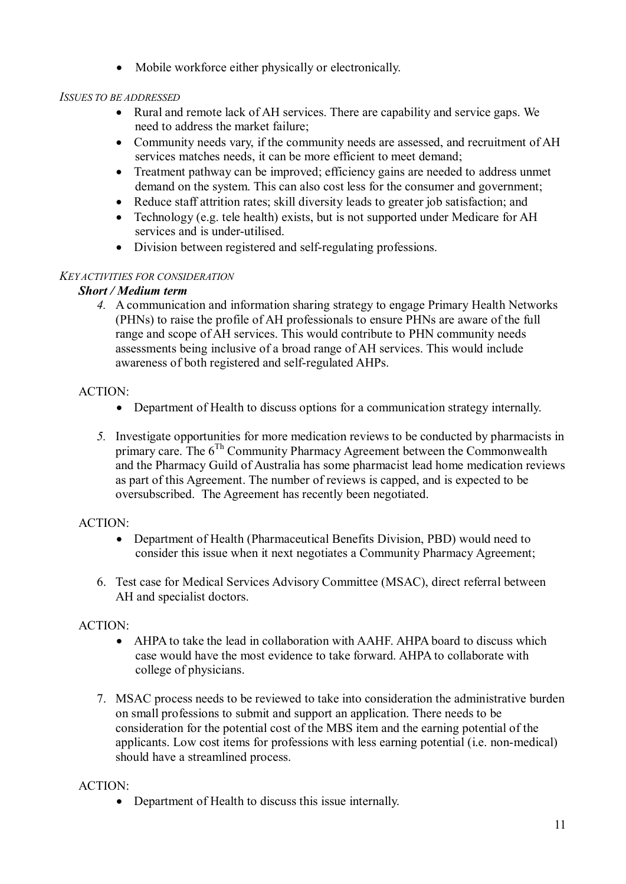• Mobile workforce either physically or electronically.

### *ISSUES TO BE ADDRESSED*

- Rural and remote lack of AH services. There are capability and service gaps. We need to address the market failure;
- Community needs vary, if the community needs are assessed, and recruitment of AH services matches needs, it can be more efficient to meet demand;
- Treatment pathway can be improved; efficiency gains are needed to address unmet demand on the system. This can also cost less for the consumer and government;
- Reduce staff attrition rates; skill diversity leads to greater job satisfaction; and
- Technology (e.g. tele health) exists, but is not supported under Medicare for AH services and is under-utilised.
- Division between registered and self-regulating professions.

### *KEY ACTIVITIES FOR CONSIDERATION*

### *Short / Medium term*

*4.* A communication and information sharing strategy to engage Primary Health Networks (PHNs) to raise the profile of AH professionals to ensure PHNs are aware of the full range and scope of AH services. This would contribute to PHN community needs assessments being inclusive of a broad range of AH services. This would include awareness of both registered and self-regulated AHPs.

### ACTION:

- Department of Health to discuss options for a communication strategy internally.
- *5.* Investigate opportunities for more medication reviews to be conducted by pharmacists in primary care. The  $6<sup>Th</sup>$  Community Pharmacy Agreement between the Commonwealth and the Pharmacy Guild of Australia has some pharmacist lead home medication reviews as part of this Agreement. The number of reviews is capped, and is expected to be oversubscribed. The Agreement has recently been negotiated.

## ACTION:

- Department of Health (Pharmaceutical Benefits Division, PBD) would need to consider this issue when it next negotiates a Community Pharmacy Agreement;
- 6. Test case for Medical Services Advisory Committee (MSAC), direct referral between AH and specialist doctors.

## ACTION:

- AHPA to take the lead in collaboration with AAHF. AHPA board to discuss which case would have the most evidence to take forward. AHPA to collaborate with college of physicians.
- 7. MSAC process needs to be reviewed to take into consideration the administrative burden on small professions to submit and support an application. There needs to be consideration for the potential cost of the MBS item and the earning potential of the applicants. Low cost items for professions with less earning potential (i.e. non-medical) should have a streamlined process.

## ACTION:

• Department of Health to discuss this issue internally.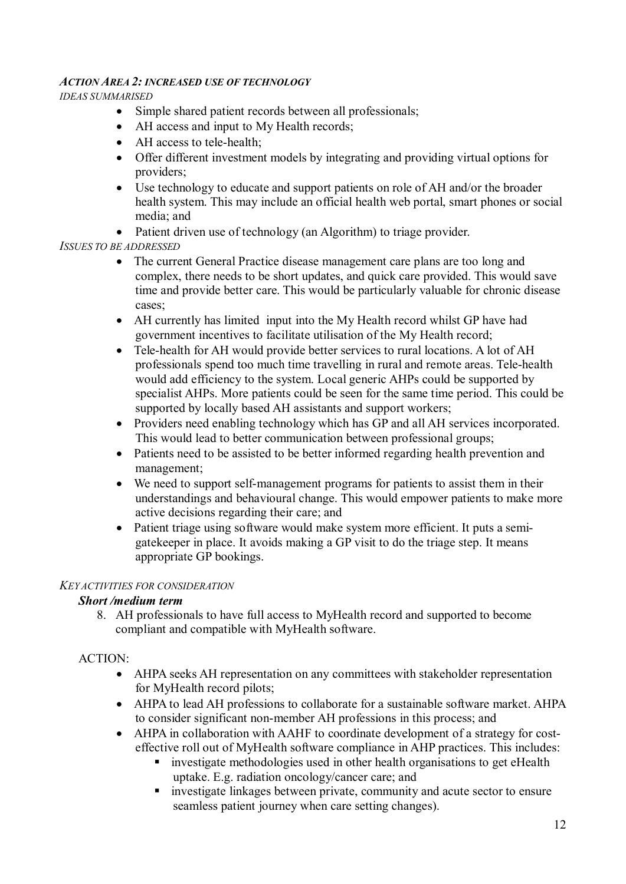### *ACTION AREA 2: INCREASED USE OF TECHNOLOGY*

*IDEAS SUMMARISED*

- Simple shared patient records between all professionals;
- AH access and input to My Health records;
- AH access to tele-health;
- Offer different investment models by integrating and providing virtual options for providers;
- Use technology to educate and support patients on role of AH and/or the broader health system. This may include an official health web portal, smart phones or social media; and
- Patient driven use of technology (an Algorithm) to triage provider.

### *ISSUES TO BE ADDRESSED*

- The current General Practice disease management care plans are too long and complex, there needs to be short updates, and quick care provided. This would save time and provide better care. This would be particularly valuable for chronic disease cases;
- AH currently has limited input into the My Health record whilst GP have had government incentives to facilitate utilisation of the My Health record;
- Tele-health for AH would provide better services to rural locations. A lot of AH professionals spend too much time travelling in rural and remote areas. Tele-health would add efficiency to the system. Local generic AHPs could be supported by specialist AHPs. More patients could be seen for the same time period. This could be supported by locally based AH assistants and support workers;
- Providers need enabling technology which has GP and all AH services incorporated. This would lead to better communication between professional groups;
- Patients need to be assisted to be better informed regarding health prevention and management;
- We need to support self-management programs for patients to assist them in their understandings and behavioural change. This would empower patients to make more active decisions regarding their care; and
- Patient triage using software would make system more efficient. It puts a semigatekeeper in place. It avoids making a GP visit to do the triage step. It means appropriate GP bookings.

### *KEY ACTIVITIES FOR CONSIDERATION*

## *Short /medium term*

8. AH professionals to have full access to MyHealth record and supported to become compliant and compatible with MyHealth software.

## ACTION:

- AHPA seeks AH representation on any committees with stakeholder representation for MyHealth record pilots;
- AHPA to lead AH professions to collaborate for a sustainable software market. AHPA to consider significant non-member AH professions in this process; and
- AHPA in collaboration with AAHF to coordinate development of a strategy for costeffective roll out of MyHealth software compliance in AHP practices. This includes:
	- investigate methodologies used in other health organisations to get eHealth uptake. E.g. radiation oncology/cancer care; and
	- investigate linkages between private, community and acute sector to ensure seamless patient journey when care setting changes).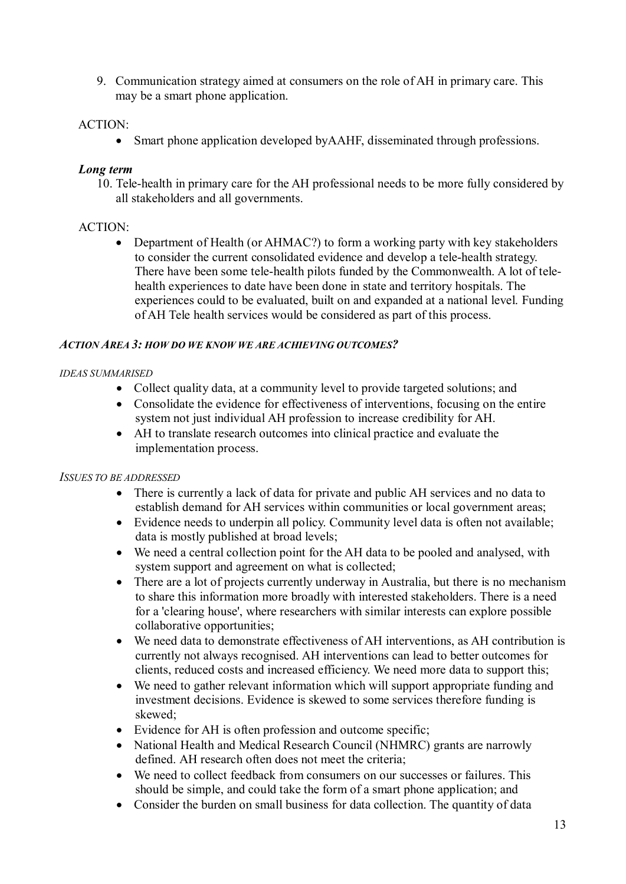9. Communication strategy aimed at consumers on the role of AH in primary care. This may be a smart phone application.

### ACTION:

Smart phone application developed byAAHF, disseminated through professions.

### *Long term*

10. Tele-health in primary care for the AH professional needs to be more fully considered by all stakeholders and all governments.

### ACTION:

• Department of Health (or AHMAC?) to form a working party with key stakeholders to consider the current consolidated evidence and develop a tele-health strategy. There have been some tele-health pilots funded by the Commonwealth. A lot of telehealth experiences to date have been done in state and territory hospitals. The experiences could to be evaluated, built on and expanded at a national level. Funding of AH Tele health services would be considered as part of this process.

### *ACTION AREA 3: HOW DO WE KNOW WE ARE ACHIEVING OUTCOMES?*

### *IDEAS SUMMARISED*

- Collect quality data, at a community level to provide targeted solutions; and
- Consolidate the evidence for effectiveness of interventions, focusing on the entire system not just individual AH profession to increase credibility for AH.
- AH to translate research outcomes into clinical practice and evaluate the implementation process.

### *ISSUES TO BE ADDRESSED*

- There is currently a lack of data for private and public AH services and no data to establish demand for AH services within communities or local government areas;
- Evidence needs to underpin all policy. Community level data is often not available; data is mostly published at broad levels;
- We need a central collection point for the AH data to be pooled and analysed, with system support and agreement on what is collected;
- There are a lot of projects currently underway in Australia, but there is no mechanism to share this information more broadly with interested stakeholders. There is a need for a 'clearing house', where researchers with similar interests can explore possible collaborative opportunities;
- We need data to demonstrate effectiveness of AH interventions, as AH contribution is currently not always recognised. AH interventions can lead to better outcomes for clients, reduced costs and increased efficiency. We need more data to support this;
- We need to gather relevant information which will support appropriate funding and investment decisions. Evidence is skewed to some services therefore funding is skewed;
- Evidence for AH is often profession and outcome specific;
- National Health and Medical Research Council (NHMRC) grants are narrowly defined. AH research often does not meet the criteria;
- We need to collect feedback from consumers on our successes or failures. This should be simple, and could take the form of a smart phone application; and
- Consider the burden on small business for data collection. The quantity of data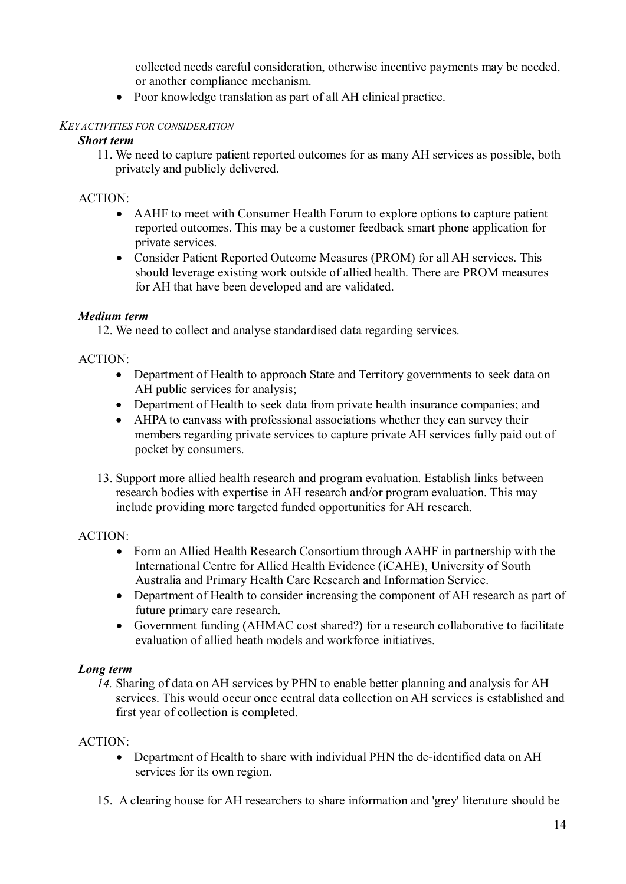collected needs careful consideration, otherwise incentive payments may be needed, or another compliance mechanism.

• Poor knowledge translation as part of all AH clinical practice.

### *KEY ACTIVITIES FOR CONSIDERATION*

### *Short term*

11. We need to capture patient reported outcomes for as many AH services as possible, both privately and publicly delivered.

### ACTION:

- AAHF to meet with Consumer Health Forum to explore options to capture patient reported outcomes. This may be a customer feedback smart phone application for private services.
- Consider Patient Reported Outcome Measures (PROM) for all AH services. This should leverage existing work outside of allied health. There are PROM measures for AH that have been developed and are validated.

### *Medium term*

12. We need to collect and analyse standardised data regarding services.

### ACTION:

- Department of Health to approach State and Territory governments to seek data on AH public services for analysis;
- Department of Health to seek data from private health insurance companies; and
- AHPA to canvass with professional associations whether they can survey their members regarding private services to capture private AH services fully paid out of pocket by consumers.
- 13. Support more allied health research and program evaluation. Establish links between research bodies with expertise in AH research and/or program evaluation. This may include providing more targeted funded opportunities for AH research.

### ACTION:

- Form an Allied Health Research Consortium through AAHF in partnership with the International Centre for Allied Health Evidence (iCAHE), University of South Australia and Primary Health Care Research and Information Service.
- Department of Health to consider increasing the component of AH research as part of future primary care research.
- Government funding (AHMAC cost shared?) for a research collaborative to facilitate evaluation of allied heath models and workforce initiatives.

## *Long term*

*14.* Sharing of data on AH services by PHN to enable better planning and analysis for AH services. This would occur once central data collection on AH services is established and first year of collection is completed.

### ACTION:

- Department of Health to share with individual PHN the de-identified data on AH services for its own region.
- 15. A clearing house for AH researchers to share information and 'grey' literature should be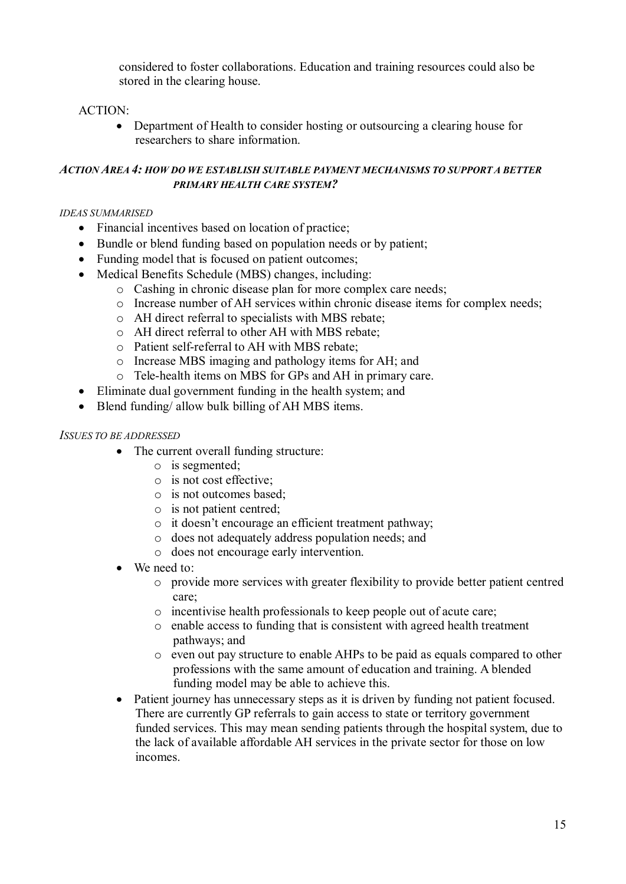considered to foster collaborations. Education and training resources could also be stored in the clearing house.

### ACTION:

• Department of Health to consider hosting or outsourcing a clearing house for researchers to share information.

### *ACTION AREA 4: HOW DO WE ESTABLISH SUITABLE PAYMENT MECHANISMS TO SUPPORT A BETTER PRIMARY HEALTH CARE SYSTEM?*

#### *IDEAS SUMMARISED*

- Financial incentives based on location of practice;
- Bundle or blend funding based on population needs or by patient;
- Funding model that is focused on patient outcomes;
- Medical Benefits Schedule (MBS) changes, including:
	- o Cashing in chronic disease plan for more complex care needs;
	- o Increase number of AH services within chronic disease items for complex needs;
	- o AH direct referral to specialists with MBS rebate;
	- o AH direct referral to other AH with MBS rebate;
	- o Patient self-referral to AH with MBS rebate;
	- o Increase MBS imaging and pathology items for AH; and
	- o Tele-health items on MBS for GPs and AH in primary care.
- Eliminate dual government funding in the health system; and
- Blend funding/ allow bulk billing of AH MBS items.

#### *ISSUES TO BE ADDRESSED*

- The current overall funding structure:
	- o is segmented;
	- o is not cost effective;
	- o is not outcomes based;
	- o is not patient centred;
	- o it doesn't encourage an efficient treatment pathway;
	- o does not adequately address population needs; and
	- o does not encourage early intervention.
- We need to:
	- o provide more services with greater flexibility to provide better patient centred care;
	- o incentivise health professionals to keep people out of acute care;
	- o enable access to funding that is consistent with agreed health treatment pathways; and
	- o even out pay structure to enable AHPs to be paid as equals compared to other professions with the same amount of education and training. A blended funding model may be able to achieve this.
- Patient journey has unnecessary steps as it is driven by funding not patient focused. There are currently GP referrals to gain access to state or territory government funded services. This may mean sending patients through the hospital system, due to the lack of available affordable AH services in the private sector for those on low incomes.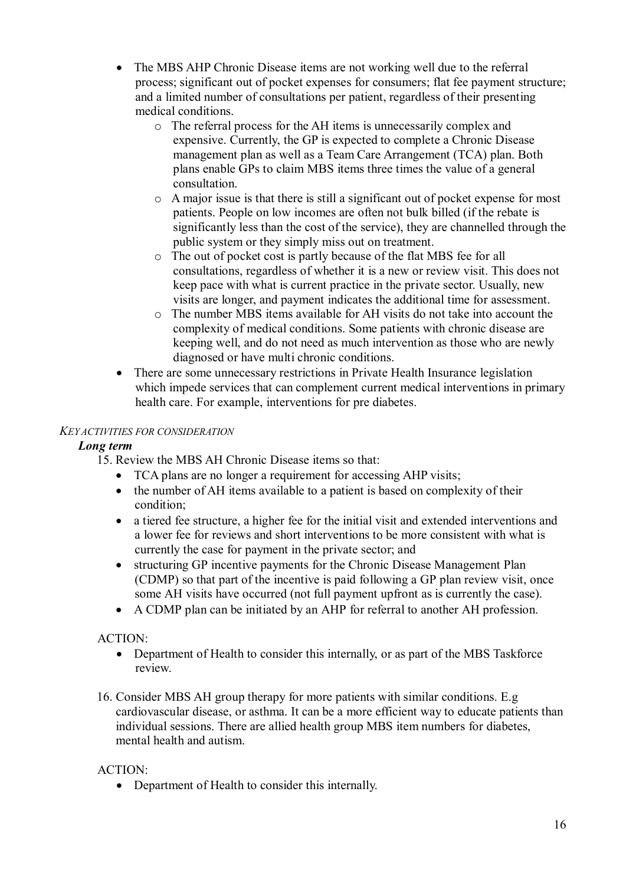- The MBS AHP Chronic Disease items are not working well due to the referral process; significant out of pocket expenses for consumers; flat fee payment structure; and a limited number of consultations per patient, regardless of their presenting medical conditions.
	- o The referral process for the AH items is unnecessarily complex and expensive. Currently, the GP is expected to complete a Chronic Disease management plan as well as a Team Care Arrangement (TCA) plan. Both plans enable GPs to claim MBS items three times the value of a general consultation.
	- o A major issue is that there is still a significant out of pocket expense for most patients. People on low incomes are often not bulk billed (if the rebate is significantly less than the cost of the service), they are channelled through the public system or they simply miss out on treatment.
	- o The out of pocket cost is partly because of the flat MBS fee for all consultations, regardless of whether it is a new or review visit. This does not keep pace with what is current practice in the private sector. Usually, new visits are longer, and payment indicates the additional time for assessment.
	- o The number MBS items available for AH visits do not take into account the complexity of medical conditions. Some patients with chronic disease are keeping well, and do not need as much intervention as those who are newly diagnosed or have multi chronic conditions.
- There are some unnecessary restrictions in Private Health Insurance legislation which impede services that can complement current medical interventions in primary health care. For example, interventions for pre diabetes.

## *KEY ACTIVITIES FOR CONSIDERATION*

## *Long term*

15. Review the MBS AH Chronic Disease items so that:

- TCA plans are no longer a requirement for accessing AHP visits;
- the number of AH items available to a patient is based on complexity of their condition;
- a tiered fee structure, a higher fee for the initial visit and extended interventions and a lower fee for reviews and short interventions to be more consistent with what is currently the case for payment in the private sector; and
- structuring GP incentive payments for the Chronic Disease Management Plan (CDMP) so that part of the incentive is paid following a GP plan review visit, once some AH visits have occurred (not full payment upfront as is currently the case).
- A CDMP plan can be initiated by an AHP for referral to another AH profession.

## ACTION:

- Department of Health to consider this internally, or as part of the MBS Taskforce review.
- 16. Consider MBS AH group therapy for more patients with similar conditions. E.g cardiovascular disease, or asthma. It can be a more efficient way to educate patients than individual sessions. There are allied health group MBS item numbers for diabetes, mental health and autism.

## ACTION:

• Department of Health to consider this internally.